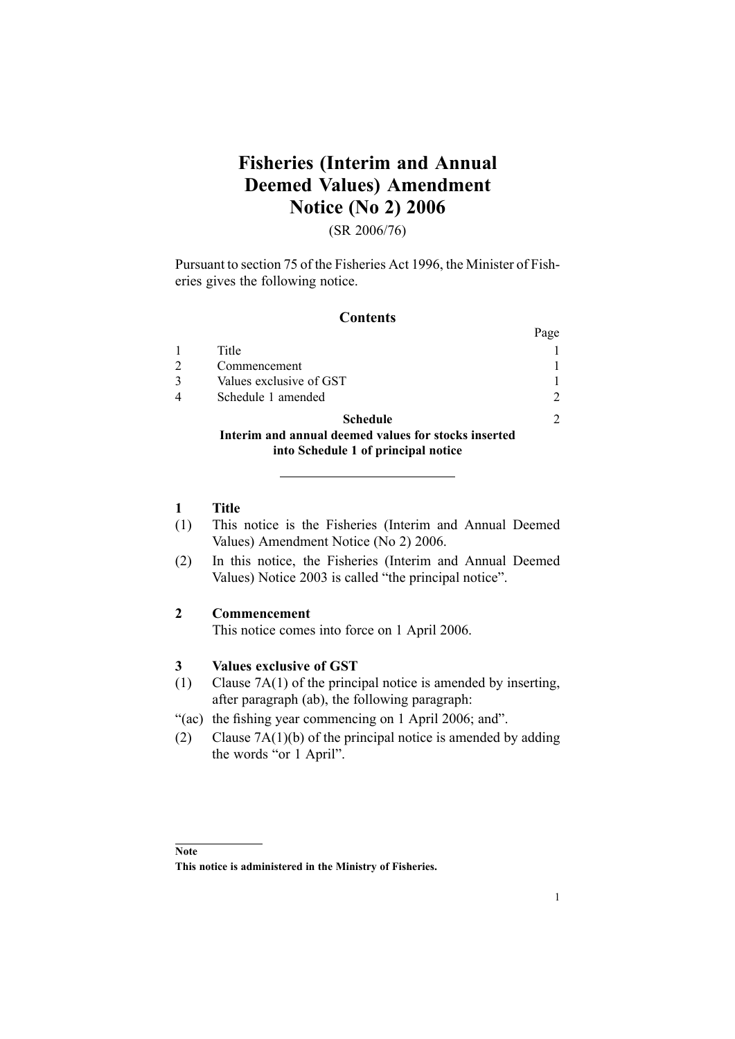# **Fisheries (Interim and Annual Deemed Values) Amendment Notice (No 2) 2006**

### (SR 2006/76)

Pursuant to section [75](http://www.legislation.govt.nz/pdflink.aspx?id=DLM396539) of the [Fisheries](http://www.legislation.govt.nz/pdflink.aspx?id=DLM394191) Act 1996, the Minister of Fisheries gives the following notice.

### **Contents**

|               | Interim and annual deemed values for stocks inserted<br>into Schedule 1 of principal notice |               |
|---------------|---------------------------------------------------------------------------------------------|---------------|
|               | <b>Schedule</b>                                                                             | $\mathcal{D}$ |
|               | Schedule 1 amended                                                                          | $\mathcal{D}$ |
|               | Values exclusive of GST                                                                     |               |
| $\mathcal{L}$ | Commencement                                                                                |               |
|               | Title                                                                                       |               |
|               |                                                                                             | Page          |

### **1 Title**

- (1) This notice is the Fisheries (Interim and Annual Deemed Values) Amendment Notice (No 2) 2006.
- (2) In this notice, the Fisheries [\(Interim](http://www.legislation.govt.nz/pdflink.aspx?id=DLM214397) and Annual Deemed [Values\)](http://www.legislation.govt.nz/pdflink.aspx?id=DLM214397) Notice 2003 is called "the principal notice".

#### **2 Commencement**

This notice comes into force on 1 April 2006.

#### **3 Values exclusive of GST**

- (1) Clause [7A\(1\)](http://www.legislation.govt.nz/pdflink.aspx?id=DLM215022) of the principal notice is amended by inserting, after paragraph [\(ab\)](http://www.legislation.govt.nz/pdflink.aspx?id=DLM215022), the following paragraph:
- "(ac) the fishing year commencing on 1 April 2006; and".
- (2) Clause [7A\(1\)\(b\)](http://www.legislation.govt.nz/pdflink.aspx?id=DLM215022) of the principal notice is amended by adding the words "or 1 April".

**Note**

**This notice is administered in the Ministry of Fisheries.**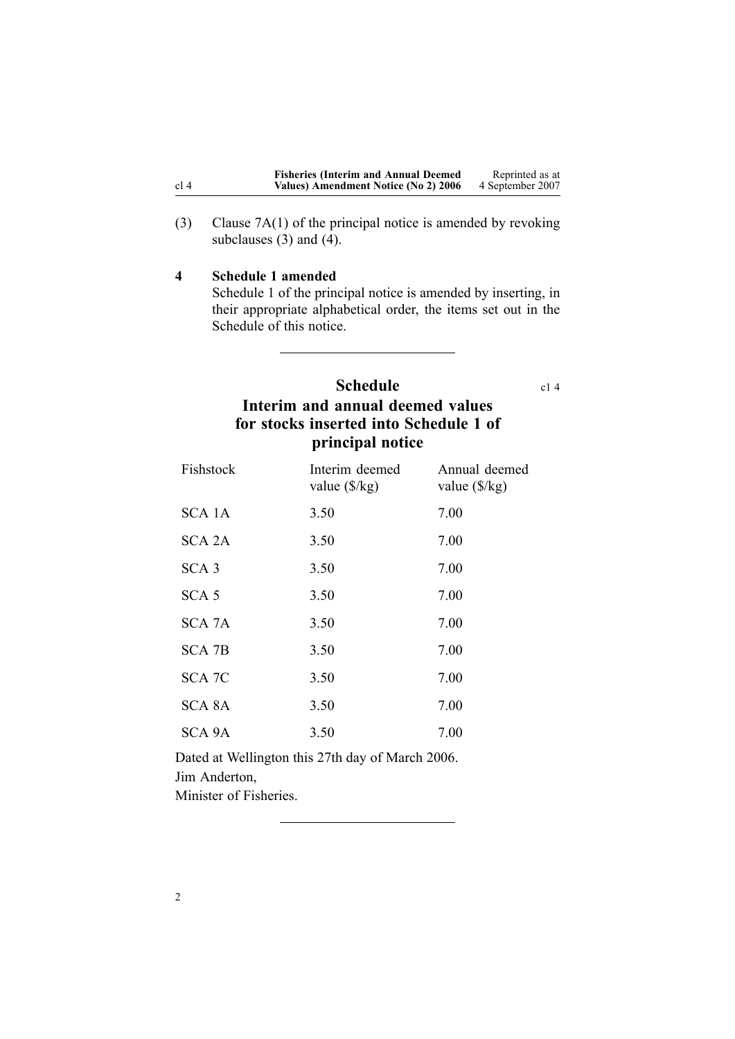| <b>Fisheries (Interim and Annual Deemed)</b> | Reprinted as at  |
|----------------------------------------------|------------------|
| Values) Amendment Notice (No 2) 2006         | 4 September 2007 |

(3) Clause [7A\(1\)](http://www.legislation.govt.nz/pdflink.aspx?id=DLM215022) of the principal notice is amended by revoking subclauses  $(3)$  and  $(4)$ .

#### **4 Schedule 1 amended**

<span id="page-1-0"></span>cl 4

Schedule [1](http://www.legislation.govt.nz/pdflink.aspx?id=DLM215032) of the principal notice is amended by inserting, in their appropriate alphabetical order, the items set out in the Schedule of this notice.

## **Schedule** c14 **Interim and annual deemed values for stocks inserted into Schedule 1 of principal notice**

| Fishstock          | Interim deemed<br>value $(\frac{5}{kg})$ | Annual deemed<br>value $(\frac{5}{kg})$ |
|--------------------|------------------------------------------|-----------------------------------------|
| SCA 1A             | 3.50                                     | 7.00                                    |
| SCA <sub>2</sub> A | 3.50                                     | 7.00                                    |
| SCA <sub>3</sub>   | 3.50                                     | 7.00                                    |
| SCA <sub>5</sub>   | 3.50                                     | 7.00                                    |
| <b>SCA 7A</b>      | 3.50                                     | 7.00                                    |
| <b>SCA 7B</b>      | 3.50                                     | 7.00                                    |
| SCA <sub>7</sub> C | 3.50                                     | 7.00                                    |
| SCA 8A             | 3.50                                     | 7.00                                    |
| SCA 9A             | 3.50                                     | 7.00                                    |

Dated at Wellington this 27th day of March 2006. Jim Anderton, Minister of Fisheries.